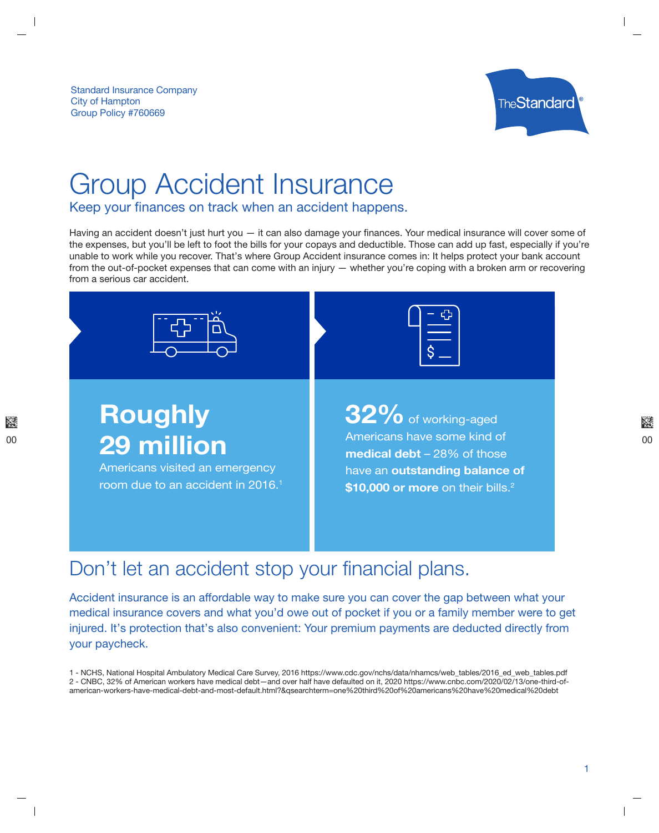Standard Insurance Company City of Hampton Group Policy #760669



## Group Accident Insurance

Keep your finances on track when an accident happens.

Having an accident doesn't just hurt you  $-$  it can also damage your finances. Your medical insurance will cover some of the expenses, but you'll be left to foot the bills for your copays and deductible. Those can add up fast, especially if you're unable to work while you recover. That's where Group Accident insurance comes in: It helps protect your bank account from the out-of-pocket expenses that can come with an injury — whether you're coping with a broken arm or recovering from a serious car accident.



## Don't let an accident stop your financial plans.

Accident insurance is an affordable way to make sure you can cover the gap between what your medical insurance covers and what you'd owe out of pocket if you or a family member were to get injured. It's protection that's also convenient: Your premium payments are deducted directly from your paycheck.

1 - NCHS, National Hospital Ambulatory Medical Care Survey, 2016 https://www.cdc.gov/nchs/data/nhamcs/web\_tables/2016\_ed\_web\_tables.pdf 2 - CNBC, 32% of American workers have medical debt—and over half have defaulted on it, 2020 https://www.cnbc.com/2020/02/13/one-third-ofamerican-workers-have-medical-debt-and-most-default.html?&qsearchterm=one%20third%20of%20americans%20have%20medical%20debt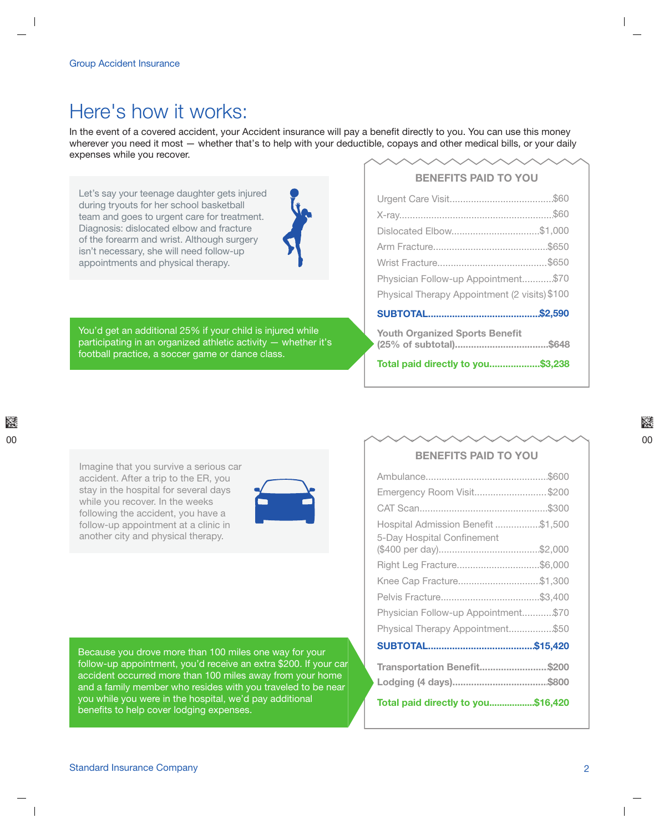## Here's how it works:

In the event of a covered accident, your Accident insurance will pay a benefit directly to you. You can use this money wherever you need it most – whether that's to help with your deductible, copays and other medical bills, or your daily expenses while you recover.

Let's say your teenage daughter gets injured during tryouts for her school basketball team and goes to urgent care for treatment. Diagnosis: dislocated elbow and fracture of the forearm and wrist. Although surgery isn't necessary, she will need follow-up appointments and physical therapy.



You'd get an additional 25% if your child is injured while participating in an organized athletic activity  $-$  whether it's football practice, a soccer game or dance class.

#### **BENEFITS PAID TO YOU**

| Dislocated Elbow\$1,000                       |  |
|-----------------------------------------------|--|
|                                               |  |
|                                               |  |
| Physician Follow-up Appointment\$70           |  |
| Physical Therapy Appointment (2 visits) \$100 |  |
|                                               |  |
| <b>Youth Organized Sports Benefit</b>         |  |
| Total paid directly to you\$3,238             |  |

Imagine that you survive a serious car accident. After a trip to the ER, you stay in the hospital for several days while you recover. In the weeks following the accident, you have a follow-up appointment at a clinic in another city and physical therapy.



Because you drove more than 100 miles one way for your follow-up appointment, you'd receive an extra \$200. If your car accident occurred more than 100 miles away from your home and a family member who resides with you traveled to be near you while you were in the hospital, we'd pay additional benefits to help cover lodging expenses.

#### **BENEFITS PAID TO YOU**

| <b>Total paid directly to you\$16.420</b> |  |
|-------------------------------------------|--|
| Transportation Benefit\$200               |  |
|                                           |  |
| Physical Therapy Appointment\$50          |  |
| Physician Follow-up Appointment\$70       |  |
|                                           |  |
| Knee Cap Fracture\$1,300                  |  |
| Right Leg Fracture\$6,000                 |  |
| 5-Day Hospital Confinement                |  |
| Hospital Admission Benefit \$1,500        |  |
|                                           |  |
| Emergency Room Visit\$200                 |  |
|                                           |  |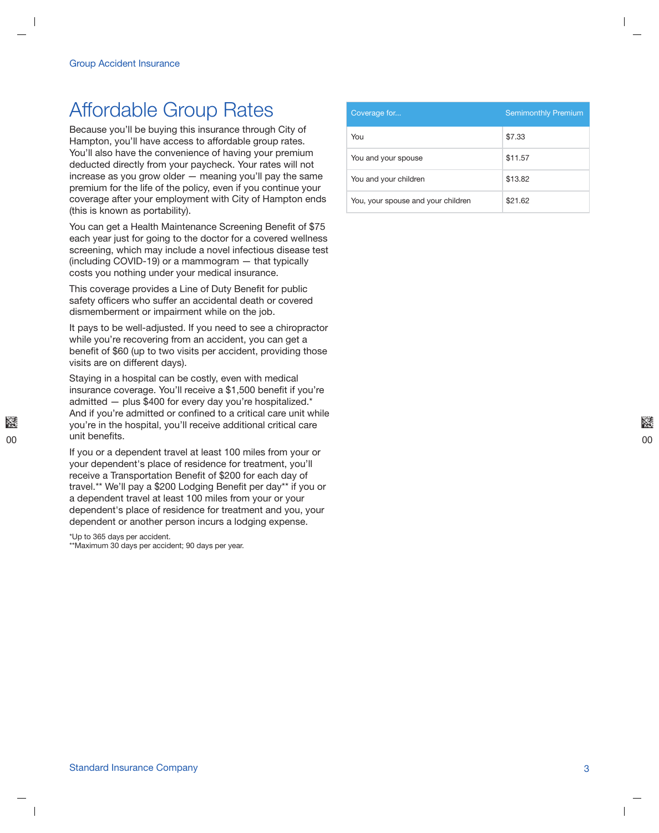## **Affordable Group Rates**

Because you'll be buying this insurance through City of Hampton, you'll have access to affordable group rates. You'll also have the convenience of having your premium deducted directly from your paycheck. Your rates will not increase as you grow older  $-$  meaning you'll pay the same premium for the life of the policy, even if you continue your coverage after your employment with City of Hampton ends (this is known as portability).

You can get a Health Maintenance Screening Benefit of \$75 each year just for going to the doctor for a covered wellness screening, which may include a novel infectious disease test (including COVID-19) or a mammogram  $-$  that typically costs you nothing under your medical insurance.

This coverage provides a Line of Duty Benefit for public safety officers who suffer an accidental death or covered dismemberment or impairment while on the job.

It pays to be well-adjusted. If you need to see a chiropractor while you're recovering from an accident, you can get a benefit of \$60 (up to two visits per accident, providing those visits are on different days).

Staying in a hospital can be costly, even with medical insurance coverage. You'll receive a \$1,500 benefit if you're admitted - plus \$400 for every day you're hospitalized.\* And if you're admitted or confined to a critical care unit while you're in the hospital, you'll receive additional critical care unit benefits.

If you or a dependent travel at least 100 miles from your or your dependent's place of residence for treatment, you'll receive a Transportation Benefit of \$200 for each day of travel.\*\* We'll pay a \$200 Lodging Benefit per day\*\* if you or a dependent travel at least 100 miles from your or your dependent's place of residence for treatment and you, your dependent or another person incurs a lodging expense.

\*Up to 365 days per accident.

\*\*Maximum 30 days per accident; 90 days per year.

| Coverage for                       | <b>Semimonthly Premium</b> |
|------------------------------------|----------------------------|
| You                                | \$7.33                     |
| You and your spouse                | \$11.57                    |
| You and your children              | \$13.82                    |
| You, your spouse and your children | \$21.62                    |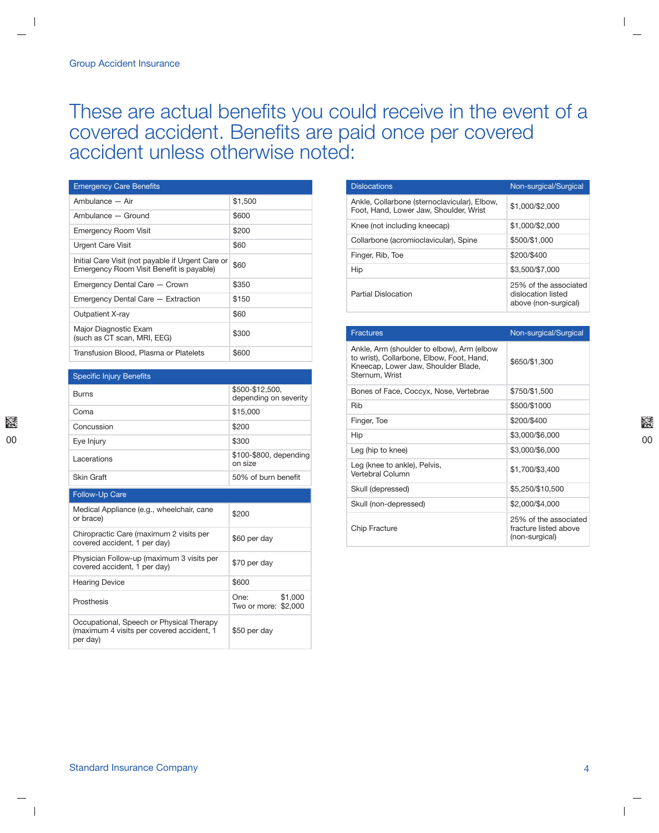# These are actual benefits you could receive in the event of a covered accident. Benefits are paid once per covered accident unless otherwise noted:

| <b>Emergency Care Benefits</b>                                                                |         |
|-----------------------------------------------------------------------------------------------|---------|
| Ambulance - Air                                                                               | \$1,500 |
| Ambulance - Ground                                                                            | \$600   |
| <b>Emergency Room Visit</b>                                                                   | \$200   |
| Urgent Care Visit                                                                             | \$60    |
| Initial Care Visit (not payable if Urgent Care or<br>Emergency Room Visit Benefit is payable) | \$60    |
| Emergency Dental Care - Crown                                                                 | \$350   |
| Emergency Dental Care - Extraction                                                            | \$150   |
| Outpatient X-ray                                                                              | \$60    |
| Major Diagnostic Exam<br>(such as CT scan, MRI, EEG)                                          | \$300   |
| Transfusion Blood, Plasma or Platelets                                                        | \$600   |

| <b>Specific Injury Benefits</b>                                                                   |                                          |
|---------------------------------------------------------------------------------------------------|------------------------------------------|
| <b>Burns</b>                                                                                      | \$500-\$12,500,<br>depending on severity |
| Coma                                                                                              | \$15,000                                 |
| Concussion                                                                                        | \$200                                    |
| Eye Injury                                                                                        | \$300                                    |
| Lacerations                                                                                       | \$100-\$800, depending<br>on size        |
| Skin Graft                                                                                        | 50% of burn benefit                      |
| <b>Follow-Up Care</b>                                                                             |                                          |
| Medical Appliance (e.g., wheelchair, cane<br>or brace)                                            | \$200                                    |
| Chiropractic Care (maximum 2 visits per<br>covered accident, 1 per day)                           | \$60 per day                             |
| Physician Follow-up (maximum 3 visits per<br>covered accident, 1 per day)                         | \$70 per day                             |
| <b>Hearing Device</b>                                                                             | \$600                                    |
| Prosthesis                                                                                        | One:<br>\$1,000<br>Two or more: \$2,000  |
| Occupational, Speech or Physical Therapy<br>(maximum 4 visits per covered accident, 1<br>per day) | \$50 per day                             |

| <b>Dislocations</b>                                                                    | Non-surgical/Surgical                                               |
|----------------------------------------------------------------------------------------|---------------------------------------------------------------------|
| Ankle, Collarbone (sternoclavicular), Elbow,<br>Foot, Hand, Lower Jaw, Shoulder, Wrist | \$1,000/\$2,000                                                     |
| Knee (not including kneecap)                                                           | \$1,000/\$2,000                                                     |
| Collarbone (acromioclavicular), Spine                                                  | \$500/\$1,000                                                       |
| Finger, Rib, Toe                                                                       | \$200/\$400                                                         |
| Hip                                                                                    | \$3,500/\$7,000                                                     |
| Partial Dislocation                                                                    | 25% of the associated<br>dislocation listed<br>above (non-surgical) |

| <b>Fractures</b>                                                                                                                                 | Non-surgical/Surgical                                            |
|--------------------------------------------------------------------------------------------------------------------------------------------------|------------------------------------------------------------------|
| Ankle, Arm (shoulder to elbow), Arm (elbow<br>to wrist), Collarbone, Elbow, Foot, Hand,<br>Kneecap, Lower Jaw, Shoulder Blade,<br>Sternum, Wrist | \$650/\$1,300                                                    |
| Bones of Face, Coccyx, Nose, Vertebrae                                                                                                           | \$750/\$1.500                                                    |
| Rib                                                                                                                                              | \$500/\$1000                                                     |
| Finger, Toe                                                                                                                                      | \$200/\$400                                                      |
| Hip                                                                                                                                              | \$3,000/\$6,000                                                  |
| Leg (hip to knee)                                                                                                                                | \$3,000/\$6,000                                                  |
| Leg (knee to ankle), Pelvis,<br>Vertebral Column                                                                                                 | \$1,700/\$3,400                                                  |
| Skull (depressed)                                                                                                                                | \$5,250/\$10,500                                                 |
| Skull (non-depressed)                                                                                                                            | \$2,000/\$4,000                                                  |
| <b>Chip Fracture</b>                                                                                                                             | 25% of the associated<br>fracture listed above<br>(non-surgical) |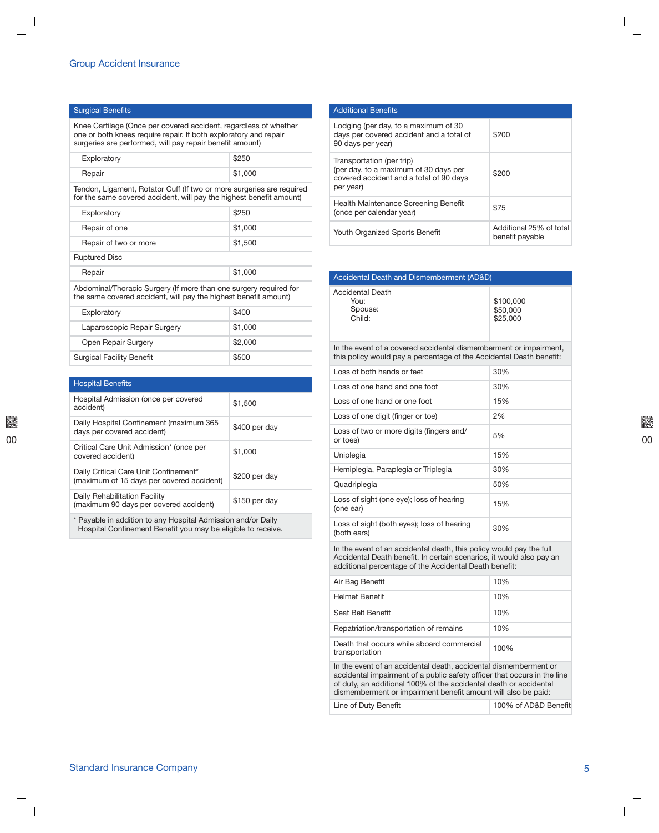#### Surgical Benefits

Knee Cartilage (Once per covered accident, regardless of whether one or both knees require repair. If both exploratory and repair surgeries are performed, will pay repair benefit amount)

| Exploratory | \$250     |
|-------------|-----------|
| Repair      | ∫ \$1,000 |

Tendon, Ligament, Rotator Cuff (If two or more surgeries are required for the same covered accident, will pay the highest benefit amount)

| Exploratory           | \$250   |
|-----------------------|---------|
| Repair of one         | \$1,000 |
| Repair of two or more | \$1,500 |
| <b>Ruptured Disc</b>  |         |
| Repair                | \$1,000 |

Abdominal/Thoracic Surgery (If more than one surgery required for the same covered accident, will pay the highest benefit amount)

| Exploratory                      | \$400   |
|----------------------------------|---------|
| Laparoscopic Repair Surgery      | \$1,000 |
| Open Repair Surgery              | \$2,000 |
| <b>Surgical Facility Benefit</b> | \$500   |

| <b>Hospital Benefits</b>                                                           |               |
|------------------------------------------------------------------------------------|---------------|
| Hospital Admission (once per covered<br>accident)                                  | \$1,500       |
| Daily Hospital Confinement (maximum 365<br>days per covered accident)              | \$400 per day |
| Critical Care Unit Admission* (once per<br>covered accident)                       | \$1,000       |
| Daily Critical Care Unit Confinement*<br>(maximum of 15 days per covered accident) | \$200 per day |
| Daily Rehabilitation Facility<br>(maximum 90 days per covered accident)            | \$150 per day |

\* Payable in addition to any Hospital Admission and/or Daily Hospital Confinement Benefit you may be eligible to receive.

| <b>Additional Benefits</b>                                                                                                 |                                            |
|----------------------------------------------------------------------------------------------------------------------------|--------------------------------------------|
| Lodging (per day, to a maximum of 30<br>days per covered accident and a total of<br>90 days per year)                      | \$200                                      |
| Transportation (per trip)<br>(per day, to a maximum of 30 days per<br>covered accident and a total of 90 days<br>per year) | \$200                                      |
| Health Maintenance Screening Benefit<br>(once per calendar year)                                                           | \$75                                       |
| Youth Organized Sports Benefit                                                                                             | Additional 25% of total<br>benefit payable |

| Accidental Death and Dismemberment (AD&D)     |                                   |
|-----------------------------------------------|-----------------------------------|
| Accidental Death<br>You:<br>Spouse:<br>Child: | \$100,000<br>\$50,000<br>\$25,000 |

In the event of a covered accidental dismemberment or impairment, this policy would pay a percentage of the Accidental Death benefit:

| Loss of both hands or feet                                | 30% |
|-----------------------------------------------------------|-----|
| Loss of one hand and one foot                             | 30% |
| Loss of one hand or one foot                              | 15% |
| Loss of one digit (finger or toe)                         | 2%  |
| Loss of two or more digits (fingers and/<br>or toes)      | 5%  |
| Uniplegia                                                 | 15% |
| Hemiplegia, Paraplegia or Triplegia                       | 30% |
| Quadriplegia                                              | 50% |
| Loss of sight (one eye); loss of hearing<br>(one ear)     | 15% |
| Loss of sight (both eyes); loss of hearing<br>(both ears) | 30% |

In the event of an accidental death, this policy would pay the full Accidental Death benefit. In certain scenarios, it would also pay an additional percentage of the Accidental Death benefit:

| Air Bag Benefit                                                                                                                                                                                                                                                                    | 10%  |  |
|------------------------------------------------------------------------------------------------------------------------------------------------------------------------------------------------------------------------------------------------------------------------------------|------|--|
| <b>Helmet Benefit</b>                                                                                                                                                                                                                                                              | 10%  |  |
| Seat Belt Benefit                                                                                                                                                                                                                                                                  | 10%  |  |
| Repatriation/transportation of remains                                                                                                                                                                                                                                             | 10%  |  |
| Death that occurs while aboard commercial<br>transportation                                                                                                                                                                                                                        | 100% |  |
| In the event of an accidental death, accidental dismemberment or<br>accidental impairment of a public safety officer that occurs in the line<br>of duty, an additional 100% of the accidental death or accidental<br>dismemberment or impairment benefit amount will also be paid: |      |  |

Line of Duty Benefit **Example 2 100%** of AD&D Benefit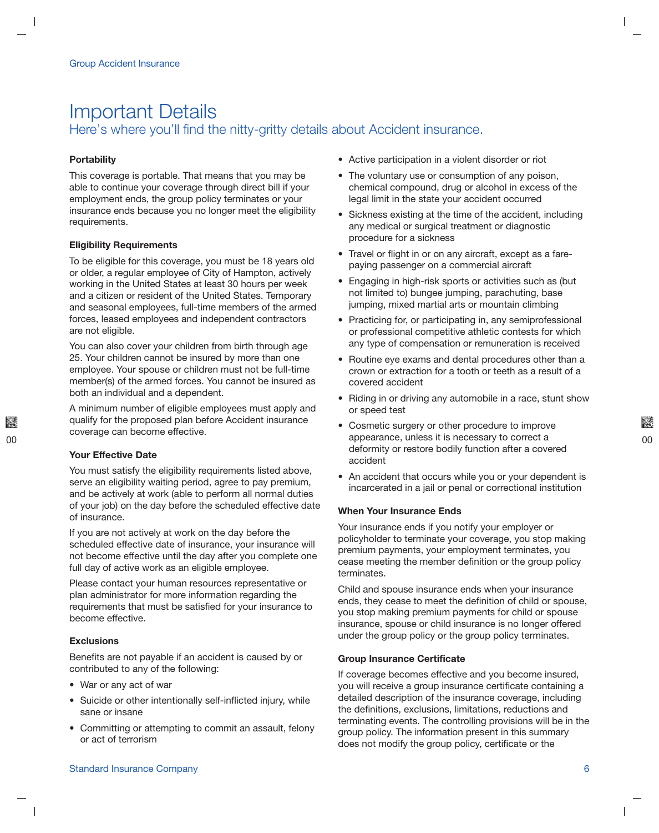### **Important Details** Here's where you'll find the nitty-gritty details about Accident insurance.

#### **Portability**

This coverage is portable. That means that you may be able to continue your coverage through direct bill if your employment ends, the group policy terminates or your insurance ends because you no longer meet the eligibility requirements.

#### **Eligibility Requirements**

To be eligible for this coverage, you must be 18 years old or older, a regular employee of City of Hampton, actively working in the United States at least 30 hours per week and a citizen or resident of the United States. Temporary and seasonal employees, full-time members of the armed forces, leased employees and independent contractors are not eligible.

You can also cover your children from birth through age 25. Your children cannot be insured by more than one employee. Your spouse or children must not be full-time member(s) of the armed forces. You cannot be insured as both an individual and a dependent.

A minimum number of eligible employees must apply and qualify for the proposed plan before Accident insurance coverage can become effective.

#### **Your Effective Date**

You must satisfy the eligibility requirements listed above, serve an eligibility waiting period, agree to pay premium, and be actively at work (able to perform all normal duties of your job) on the day before the scheduled effective date of insurance.

If you are not actively at work on the day before the scheduled effective date of insurance, your insurance will not become effective until the day after you complete one full day of active work as an eligible employee.

Please contact your human resources representative or plan administrator for more information regarding the requirements that must be satisfied for your insurance to become effective.

#### **Exclusions**

Benefits are not payable if an accident is caused by or contributed to any of the following:

- War or any act of war
- Suicide or other intentionally self-inflicted injury, while sane or insane
- Committing or attempting to commit an assault, felony or act of terrorism
- Active participation in a violent disorder or riot
- The voluntary use or consumption of any poison, chemical compound, drug or alcohol in excess of the legal limit in the state your accident occurred
- Sickness existing at the time of the accident, including any medical or surgical treatment or diagnostic procedure for a sickness
- Travel or flight in or on any aircraft, except as a farepaying passenger on a commercial aircraft
- Engaging in high-risk sports or activities such as (but not limited to) bungee jumping, parachuting, base jumping, mixed martial arts or mountain climbing
- Practicing for, or participating in, any semiprofessional or professional competitive athletic contests for which any type of compensation or remuneration is received
- Routine eye exams and dental procedures other than a crown or extraction for a tooth or teeth as a result of a covered accident
- Riding in or driving any automobile in a race, stunt show or speed test
- Cosmetic surgery or other procedure to improve appearance, unless it is necessary to correct a deformity or restore bodily function after a covered accident
- An accident that occurs while you or your dependent is incarcerated in a jail or penal or correctional institution

#### **When Your Insurance Ends**

Your insurance ends if you notify your employer or policyholder to terminate your coverage, you stop making premium payments, your employment terminates, you cease meeting the member definition or the group policy terminates.

Child and spouse insurance ends when your insurance ends, they cease to meet the definition of child or spouse, you stop making premium payments for child or spouse insurance, spouse or child insurance is no longer offered under the group policy or the group policy terminates.

#### **Group Insurance Certificate**

If coverage becomes effective and you become insured, you will receive a group insurance certificate containing a detailed description of the insurance coverage, including the definitions, exclusions, limitations, reductions and terminating events. The controlling provisions will be in the group policy. The information present in this summary does not modify the group policy, certificate or the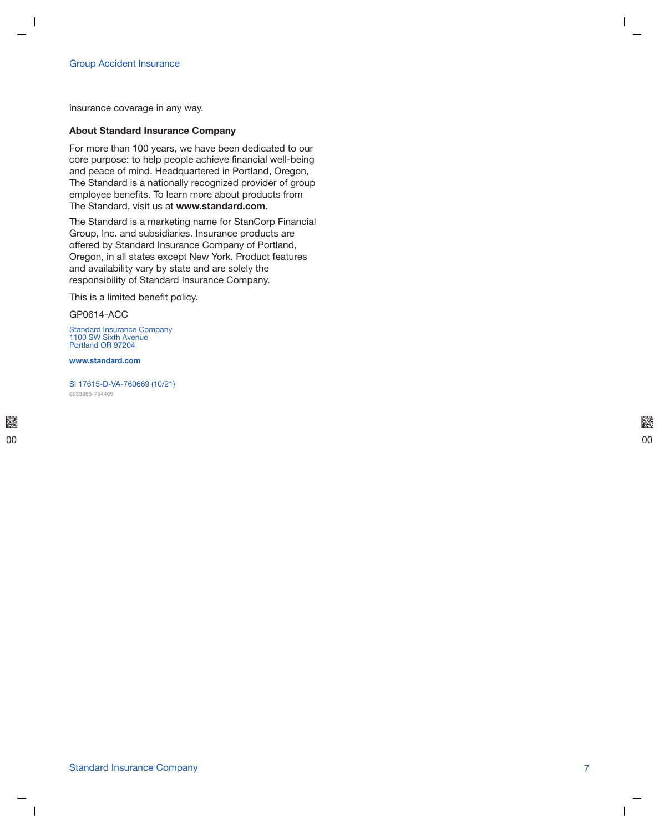insurance coverage in any way.

#### **About Standard Insurance Company**

For more than 100 years, we have been dedicated to our core purpose: to help people achieve financial well-being and peace of mind. Headquartered in Portland, Oregon, The Standard is a nationally recognized provider of group employee benefits. To learn more about products from The Standard, visit us at www.standard.com.

The Standard is a marketing name for StanCorp Financial Group, Inc. and subsidiaries. Insurance products are offered by Standard Insurance Company of Portland, Oregon, in all states except New York. Product features and availability vary by state and are solely the responsibility of Standard Insurance Company.

This is a limited benefit policy.

GP0614-ACC

Standard Insurance Company<br>1100 SW Sixth Avenue Portland OR 97204

www.standard.com

SI 17615-D-VA-760669 (10/21) 6933885-764469